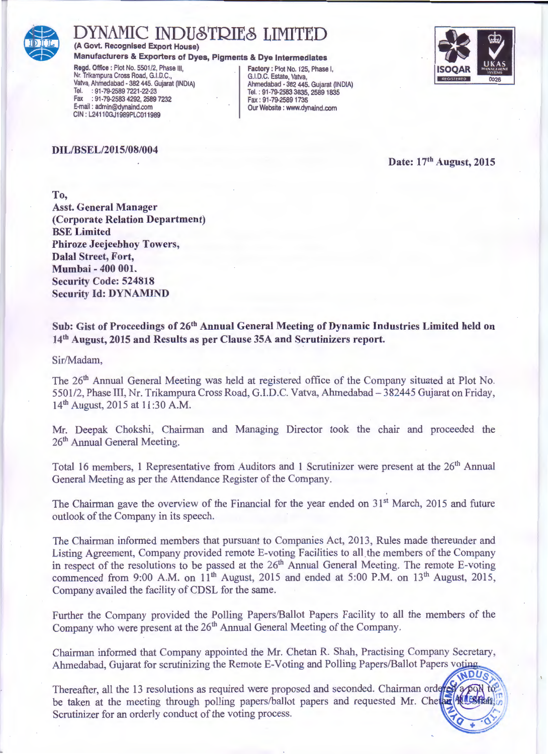

#### **IAMIC INDUSTRIES LIMITED** (A Govt. Recognised Export House)

Manufacturers & Exporters of Dyes, Pigments & Dye Intermediates

Regd. Office : Plot No. 5501/2, Phase III, Nr. Trikampura Cross Road, G.I.D.C., Vatva, Ahmedabad - 382 445. Gujarat (INDIA) Tel. : 91-79-2589 7221-22-23 Fax: 91-79-2583 4292, 2589 7232 E-mail: admin@dynaind.com CIN: L24110GJ1989PLC011989

#### DIL/BSEL/2015/08/004

Factory: Plot No. 125, Phase I,<br>G.I.D.C. Estate, Vatva, Ahmedabad - 382 445, Guiarat (INDIA) Tel.: 91-79-2583 3835, 2589 1835 Fax: 91-79-2589 1735 Our Website : www.dynaind.com



Date: 17th August, 2015

To. **Asst. General Manager** (Corporate Relation Department) **BSE Limited Phiroze Jeejeebhov Towers, Dalal Street, Fort,** Mumbai - 400 001. **Security Code: 524818 Security Id: DYNAMIND** 

#### Sub: Gist of Proceedings of 26<sup>th</sup> Annual General Meeting of Dynamic Industries Limited held on 14th August, 2015 and Results as per Clause 35A and Scrutinizers report.

Sir/Madam.

The 26<sup>th</sup> Annual General Meeting was held at registered office of the Company situated at Plot No. 5501/2, Phase III, Nr. Trikampura Cross Road, G.I.D.C. Vatva, Ahmedabad - 382445 Gujarat on Friday, 14<sup>th</sup> August, 2015 at 11:30 A.M.

Mr. Deepak Chokshi, Chairman and Managing Director took the chair and proceeded the 26<sup>th</sup> Annual General Meeting.

Total 16 members, 1 Representative from Auditors and 1 Scrutinizer were present at the 26<sup>th</sup> Annual General Meeting as per the Attendance Register of the Company.

The Chairman gave the overview of the Financial for the year ended on 31<sup>st</sup> March, 2015 and future outlook of the Company in its speech.

The Chairman informed members that pursuant to Companies Act, 2013, Rules made thereunder and Listing Agreement. Company provided remote E-voting Facilities to all the members of the Company in respect of the resolutions to be passed at the 26<sup>th</sup> Annual General Meeting. The remote E-voting commenced from 9:00 A.M. on 11<sup>th</sup> August, 2015 and ended at 5:00 P.M. on 13<sup>th</sup> August, 2015, Company availed the facility of CDSL for the same.

Further the Company provided the Polling Papers/Ballot Papers Facility to all the members of the Company who were present at the 26<sup>th</sup> Annual General Meeting of the Company.

Chairman informed that Company appointed the Mr. Chetan R. Shah, Practising Company Secretary, Ahmedabad, Gujarat for scrutinizing the Remote E-Voting and Polling Papers/Ballot Papers voting

Thereafter, all the 13 resolutions as required were proposed and seconded. Chairman ordered be taken at the meeting through polling papers/ballot papers and requested Mr. Chelar Wilson Scrutinizer for an orderly conduct of the voting process.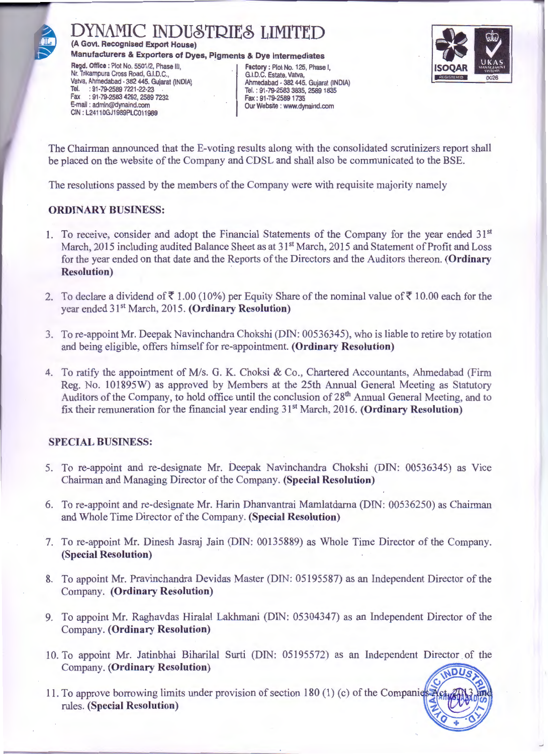

(A Govt. Recognised Export House)

Manufacturers & Exporters of Dyes, Pigments & Dye Intermediates

Regd. Office : Plot No. 5501/2, Phase III, Nr. Trikampura Cross Road, G.I.D.C., Vatva, Ahmedabad - 382 445. Gujarat (INDIA) Tel. : 91-79-2589 7221-22-23 : 91-79-2583 4292, 2589 7232 Fax E-mail: admin@dynaind.com CIN: L24110GJ1989PLC011989

Factory: Plot No. 125, Phase I,<br>G.I.D.C. Estate, Vatva, Ahmedabad - 382 445. Guiarat (INDIA) Tel.: 91-79-2583 3835, 2589 1835 Fax: 91-79-2589 1735 Our Website : www.dynaind.com



The Chairman announced that the E-voting results along with the consolidated scrutinizers report shall be placed on the website of the Company and CDSL and shall also be communicated to the BSE.

The resolutions passed by the members of the Company were with requisite majority namely

#### **ORDINARY BUSINESS:**

- 1. To receive, consider and adopt the Financial Statements of the Company for the year ended 31<sup>st</sup> March, 2015 including audited Balance Sheet as at 31<sup>st</sup> March, 2015 and Statement of Profit and Loss for the year ended on that date and the Reports of the Directors and the Auditors thereon. (Ordinary **Resolution**)
- 2. To declare a dividend of ₹1.00 (10%) per Equity Share of the nominal value of ₹10.00 each for the year ended 31<sup>st</sup> March, 2015. (Ordinary Resolution)
- 3. To re-appoint Mr. Deepak Navinchandra Chokshi (DIN: 00536345), who is liable to retire by rotation and being eligible, offers himself for re-appointment. (Ordinary Resolution)
- 4. To ratify the appointment of M/s. G. K. Choksi & Co., Chartered Accountants, Ahmedabad (Firm Reg. No. 101895W) as approved by Members at the 25th Annual General Meeting as Statutory Auditors of the Company, to hold office until the conclusion of 28<sup>th</sup> Annual General Meeting, and to fix their remuneration for the financial year ending 31<sup>st</sup> March, 2016. (Ordinary Resolution)

#### **SPECIAL BUSINESS:**

- 5. To re-appoint and re-designate Mr. Deepak Navinchandra Chokshi (DIN: 00536345) as Vice Chairman and Managing Director of the Company. (Special Resolution)
- 6. To re-appoint and re-designate Mr. Harin Dhanvantrai Mamlatdarna (DIN: 00536250) as Chairman and Whole Time Director of the Company. (Special Resolution)
- 7. To re-appoint Mr. Dinesh Jasraj Jain (DIN: 00135889) as Whole Time Director of the Company. (Special Resolution)
- 8. To appoint Mr. Pravinchandra Devidas Master (DIN: 05195587) as an Independent Director of the **Company.** (Ordinary Resolution)
- 9. To appoint Mr. Raghavdas Hiralal Lakhmani (DIN: 05304347) as an Independent Director of the Company. (Ordinary Resolution)
- 10. To appoint Mr. Jatinbhai Biharilal Surti (DIN: 05195572) as an Independent Director of the **Company.** (Ordinary Resolution)
- 11. To approve borrowing limits under provision of section 180 (1) (c) of the Companie rules. (Special Resolution)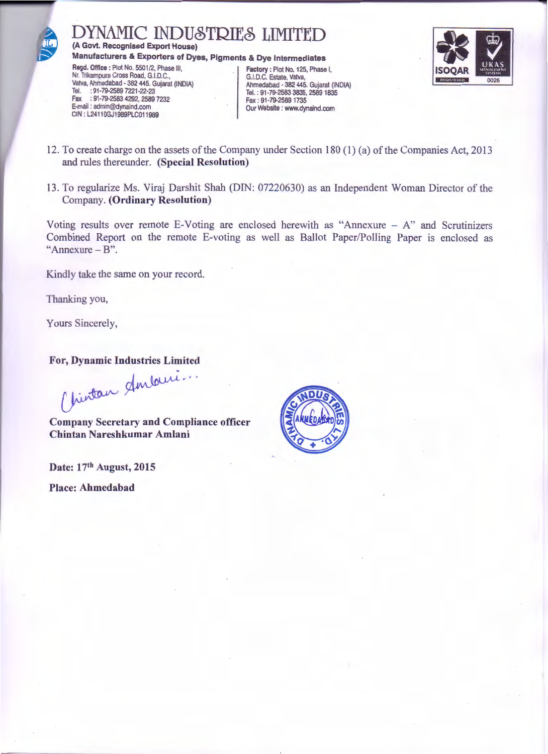

DYNAMIC INDUSTRIES LIMITED (A Govt. Recognised Export House)

Manufacturers & Exporters of Dyes, Pigments & Dye Intermediates

Regd. Office : Plot No. 5501/2, Phase III, Nr. Trikampura Cross Road, G.I.D.C., Vatva, Ahmedabad - 382 445. Gujarat (INDIA) Tel. : 91-79-2589 7221-22-23<br>Fax : 91-79-2589 7221-22-23 E-mail: admin@dynaind.com CIN: L24110GJ1989PLC011989

Factory: Plot No. 125, Phase I,<br>G.I.D.C. Estate, Vatva, Ahmedabad - 382 445. Gujarat (INDIA) Tel.: 91-79-2583 3835, 2589 1835 Fax: 91-79-2589 1735 Our Website : www.dynaind.com



- 12. To create charge on the assets of the Company under Section 180 (1) (a) of the Companies Act, 2013 and rules thereunder. (Special Resolution)
- 13. To regularize Ms. Viraj Darshit Shah (DIN: 07220630) as an Independent Woman Director of the **Company.** (Ordinary Resolution)

Voting results over remote E-Voting are enclosed herewith as "Annexure  $- A$ " and Scrutinizers Combined Report on the remote E-voting as well as Ballot Paper/Polling Paper is enclosed as "Annexure  $-B$ ".

Kindly take the same on your record.

Thanking you,

Yours Sincerely,

For, Dynamic Industries Limited

Mintan Amburi...

**Company Secretary and Compliance officer** Chintan Nareshkumar Amlani

Date: 17th August, 2015 **Place: Ahmedabad** 

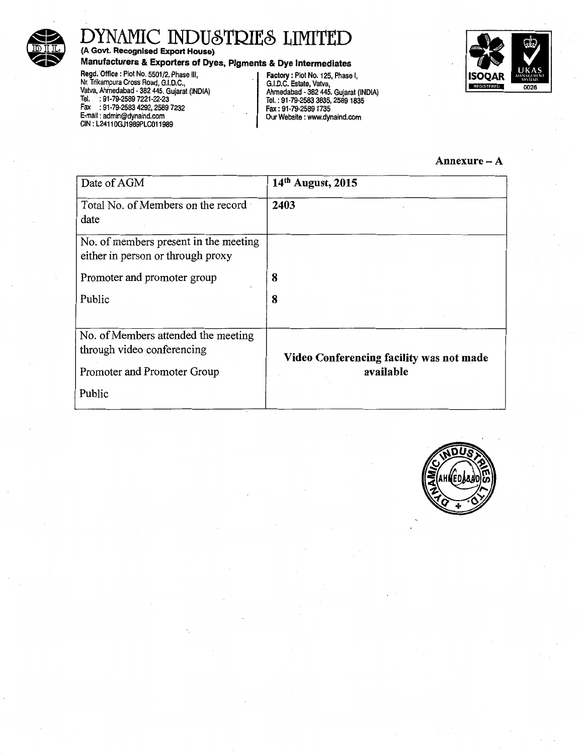

(A Govt. Recognised Export House)

Manufacturers & Exporters of Dyes, Pigments & Dye Intermediates

Regd. Office : Plot No. 5501/2, Phase III, Nr. Trikampura Cross Road, G.I.D.C., Valva, Ahmedabad • 382 445. Gujarat (INDIA) Tel. : 91·79·2589 7221·22·23 Fax : 91·79·2583 4292, 2589 7232

E-mail : admin@dynaind.com CIN: L24110GJ1989PLC011989

Factory: Plot No. 125, Phase I, G.I.D.C. Estate, Vatva, Ahmedabad • 382 445. Gujarat (INDIA) Tel. : 91-79·2583 3835, 2589 1835 Fax : 91· 79-2589 1735 Our Website : www.dynaind.com



#### Annexure-A

| Date of AGM                                                       | 14th August, 2015                        |
|-------------------------------------------------------------------|------------------------------------------|
| Total No. of Members on the record<br>date                        | 2403                                     |
| No. of members present in the meeting                             |                                          |
| either in person or through proxy                                 |                                          |
| Promoter and promoter group                                       | 8                                        |
| Public                                                            | 8                                        |
|                                                                   |                                          |
| No. of Members attended the meeting<br>through video conferencing | Video Conferencing facility was not made |
| Promoter and Promoter Group                                       | available                                |
| Public                                                            |                                          |

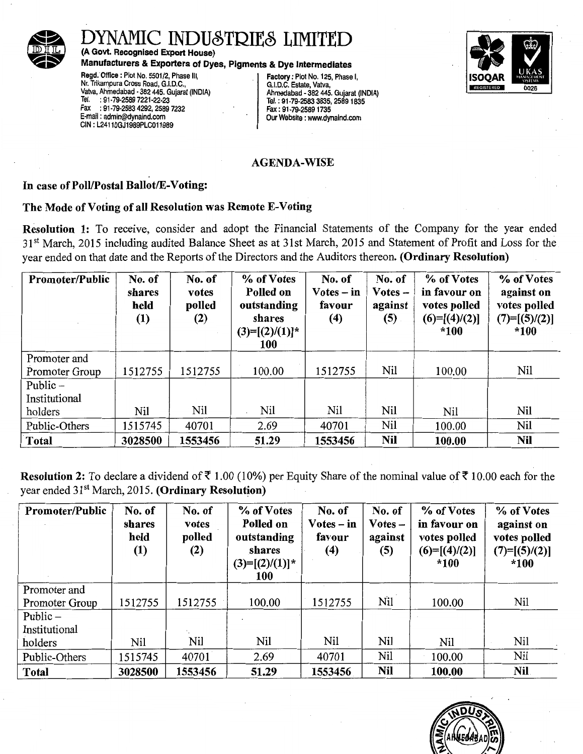

(A Govt. Recognised Export House)

Manufacturers & Exporters of Dyes, Pigments & Dye Intermediates<br>
Regd. Office : Plot No. 5501/2, Phase III. [1] Factory : Plot No. 125, Phase I,<br>
Nr. Trikampura Cross Road, G.I.D.C., [1] [1] G.I.D.C. Estate, Vatva, Regd. Office: Plot No. 5501/2, Phase III, Nr. Trikampura Cross Road, G.I.D.C., Trikampura Cross Road, G.I.D.C., C., G.I.D.C., Estate, Vatva, Valva, Valva, Valva, Valva, Valva, Valva, Valva, Valva, Valva, Valva, Valva, Valva, Valva, Valva, Valva, Valva, Valva, Valv Valva, Ahmedabad -382 445. Gujarat (INDIA) Ahmedabad - 382 \_445. Gujarat (INDIA) Tel. :91-79-2589 7221-22·23 Tel.: 91-79-2583 3835,25891835 Fax : 91-79-2583 4292, 2589 7232 Fax: 91-79-25891735 CIN: L24110GJ1989PLC011989

Our Website : www.dynaind.com



#### AGENDA-WISE

#### In case of Poll/Postal Ballot/E-Voting:

#### The Mode of Voting of all Resolution was Remote E-Voting

Resolution 1: To receive, consider and adopt the Financial Statements of the Company for the year ended 31<sup>st</sup> March, 2015 including audited Balance Sheet as at 31st March, 2015 and Statement of Profit and Loss for the year ended on that date and the Reports of the Directors and the Auditors thereon. (Ordinary Resolution)

| <b>Promoter/Public</b> | No. of<br>shares<br>held<br>$\left(1\right)$ | No. of<br>votes<br>polled<br>(2) | % of Votes<br>Polled on<br>outstanding<br>shares<br>$(3)=[(2)/(1)]^*$<br>100 | No. of<br>$Votes - in$<br>favour<br>(4) | No. of<br>$Votes -$<br>against<br>(5) | % of Votes<br>in favour on<br>votes polled<br>$(6)=[(4)/(2)]$<br>*100 | % of Votes<br>against on<br>votes polled<br>$(7)=[(5)/(2)]$<br>$*100$ |
|------------------------|----------------------------------------------|----------------------------------|------------------------------------------------------------------------------|-----------------------------------------|---------------------------------------|-----------------------------------------------------------------------|-----------------------------------------------------------------------|
| Promoter and           |                                              |                                  |                                                                              |                                         |                                       |                                                                       |                                                                       |
| Promoter Group         | 1512755                                      | 1512755                          | 100.00                                                                       | 1512755                                 | Nil                                   | 100.00                                                                | Nil                                                                   |
| Public $-$             |                                              |                                  |                                                                              |                                         |                                       |                                                                       |                                                                       |
| Institutional          |                                              |                                  |                                                                              |                                         |                                       |                                                                       |                                                                       |
| holders                | Nil                                          | Nil                              | Nil                                                                          | Nil                                     | Nil                                   | Nil                                                                   | Nil                                                                   |
| Public-Others          | 1515745                                      | 40701                            | 2.69                                                                         | 40701                                   | Nil                                   | 100.00                                                                | Nil                                                                   |
| <b>Total</b>           | 3028500                                      | 1553456                          | 51.29                                                                        | 1553456                                 | Nil                                   | 100.00                                                                | Nil                                                                   |

Resolution 2: To declare a dividend of  $\bar{\tau}$  1.00 (10%) per Equity Share of the nominal value of  $\bar{\tau}$  10.00 each for the year ended 31<sup>st</sup> March, 2015. (Ordinary Resolution)

| <b>Promoter/Public</b> | No. of<br>shares<br>held<br>(1) | No. of<br>votes<br>polled<br>(2) | % of Votes<br>Polled on<br>outstanding<br>shares<br>$(3)=[(2)/(1)]^*$<br>100 | No. of<br>$Votes - in$<br>favour<br>(4) | No. of<br>$\bf Votes -$<br>against<br>(5) | % of Votes<br>in favour on<br>votes polled<br>$(6)=[(4)/(2)]$<br>$*100$ | % of Votes<br>against on<br>votes polled<br>$(7)=[(5)/(2)]$<br>$*100$ |
|------------------------|---------------------------------|----------------------------------|------------------------------------------------------------------------------|-----------------------------------------|-------------------------------------------|-------------------------------------------------------------------------|-----------------------------------------------------------------------|
| Promoter and           |                                 |                                  |                                                                              |                                         |                                           |                                                                         |                                                                       |
| Promoter Group         | 1512755                         | 1512755                          | 100.00                                                                       | 1512755                                 | Nil                                       | 100.00                                                                  | Nil                                                                   |
| Public $-$             |                                 |                                  |                                                                              |                                         |                                           |                                                                         |                                                                       |
| Institutional          |                                 |                                  |                                                                              |                                         |                                           |                                                                         |                                                                       |
| holders                | Nil                             | Nil                              | Nil                                                                          | Nil                                     | Nil                                       | Nil                                                                     | Nil                                                                   |
| Public-Others          | 1515745                         | 40701                            | 2.69                                                                         | 40701                                   | Nil                                       | 100.00                                                                  | Nil                                                                   |
| <b>Total</b>           | 3028500                         | 1553456                          | 51.29                                                                        | 1553456                                 | Nil                                       | 100.00                                                                  | Nil.                                                                  |

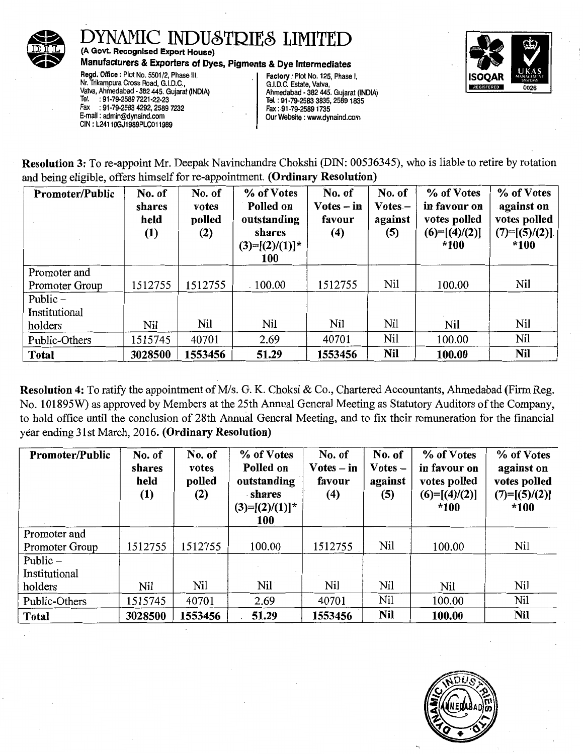

(A Govt. Recognised Export House)

Manufacturers & Exporters of Dyes, Pigments & Dye Intermediates<br>Regd. Office : Plot No. 5501/2, Phase III. [159] Factory : Plot No. 125, Phase

Regd. Office: Plot No. 5501/2, Phase III, Factory: Plot No. 125, Phase I, **ISOQAR** Nr. Trikampura Cross Road, G.I.D.C., ISOQAR G.I.D.C. Estate, Vatva, ISOQAR NR. Trikampura Cross Road, G.I.D.C., I. S. I. D.C. Estate, Vatva Vatva, Ahmedabad - 382 445. Gujarat (INDIA) <br>Tel. : 91-79-2589 7221-22-23 <br>Tel. : 91-79-2583 3835. 2589 1835 Tel. :91-79-2589 7221-22·23 Tel.: 91·79-2583 3835,25891835 Fax : 91-79-2583 4292, 2589 7232<br>E-mail: admin@dynaind.com CIN: L24110GJ1989PLC011989

Our Website : www.dynaind.com



Resolution 3: To re-appoint Mr. Deepak Navinchandra Chokshi (DIN: 00536345), who is liable to retire by rotation and being eligible, offers himself for re-appointment. (Ordinary Resolution)

| <b>Promoter/Public</b> | No. of<br>shares<br>held<br>(1) | No. of<br>votes<br>polled<br>(2) | % of Votes<br>Polled on<br>outstanding<br>shares<br>$(3)=[(2)/(1)]^*$<br><b>100</b> | No. of<br>$Votes - in$<br>favour<br>(4) | No. of<br>$Votes -$<br>against<br>(5) | % of Votes<br>in favour on<br>votes polled<br>$(6)=[(4)/(2)]$<br>$*100$ | % of Votes<br>against on<br>votes polled<br>$(7)=[(5)/(2)]$<br>*100 |
|------------------------|---------------------------------|----------------------------------|-------------------------------------------------------------------------------------|-----------------------------------------|---------------------------------------|-------------------------------------------------------------------------|---------------------------------------------------------------------|
| Promoter and           |                                 |                                  |                                                                                     |                                         |                                       |                                                                         |                                                                     |
| Promoter Group         | 1512755                         | 1512755                          | .100.00                                                                             | 1512755                                 | Nil                                   | 100.00                                                                  | Nil                                                                 |
| Public $-$             |                                 |                                  |                                                                                     |                                         |                                       |                                                                         |                                                                     |
| Institutional          |                                 |                                  |                                                                                     |                                         |                                       |                                                                         |                                                                     |
| holders                | Nil                             | Nil                              | <b>Nil</b>                                                                          | Nil                                     | Nil                                   | Nil                                                                     | Nil                                                                 |
| Public-Others          | 1515745                         | 40701                            | 2.69                                                                                | 40701                                   | Nil                                   | 100.00                                                                  | Nil                                                                 |
| <b>Total</b>           | 3028500                         | 1553456                          | 51.29                                                                               | 1553456                                 | <b>Nil</b>                            | 100.00                                                                  | <b>Nil</b>                                                          |

Resolution 4: To ratify the appointment of M/s. G. K. Choksi & Co., Chartered Accountants, Ahmedabad (Firm Reg. No. 101895W) as approved by Members at the 25th Annual General Meeting as Statutory Auditors of the Company, to hold office until the conclusion of 28th Annual General Meeting, and to fix their remuneration for the financial year ending 31st March, 2016. (Ordinary Resolution)

| Promoter/Public | No. of<br>shares<br>held<br>(1) | No. of<br>votes<br>polled<br>(2) | % of Votes<br>Polled on<br>outstanding<br>shares<br>$(3)=[(2)/(1)]^*$<br><b>100</b> | No. of<br>$Votes - in$<br>favour<br>(4) | No. of<br>$Votes -$<br>against<br>(5) | % of Votes<br>in favour on<br>votes polled<br>$(6)=[(4)/(2)]$<br>$*100$ | % of Votes<br>against on<br>votes polled<br>$(7)=[(5)/(2)]$<br>$*100$ |
|-----------------|---------------------------------|----------------------------------|-------------------------------------------------------------------------------------|-----------------------------------------|---------------------------------------|-------------------------------------------------------------------------|-----------------------------------------------------------------------|
| Promoter and    |                                 |                                  |                                                                                     |                                         |                                       |                                                                         |                                                                       |
| Promoter Group  | 1512755                         | 1512755                          | 100.00                                                                              | 1512755                                 | Nil                                   | 100.00                                                                  | Nil                                                                   |
| Public $-$      |                                 |                                  |                                                                                     |                                         |                                       |                                                                         |                                                                       |
| Institutional   |                                 |                                  |                                                                                     |                                         |                                       |                                                                         |                                                                       |
| holders         | Nil                             | Nil                              | Nil                                                                                 | Nil                                     | Nil                                   | Nil                                                                     | Nil                                                                   |
| Public-Others   | 1515745                         | 40701                            | 2.69                                                                                | 40701                                   | Nil                                   | 100.00                                                                  | Nil                                                                   |
| <b>Total</b>    | 3028500                         | 1553456                          | 51.29                                                                               | 1553456                                 | Nil                                   | 100.00                                                                  | <b>Nil</b>                                                            |

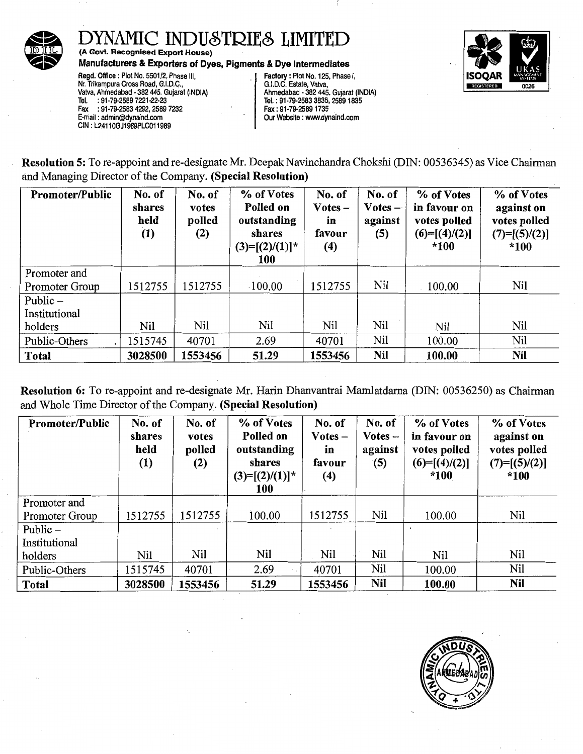

(A Govt. Recognised Export House) Manufacturers & Exporters of Dyes, Pigments & Dye Intermediates

Regd. Office: Plot No. 5501/2, Phase Ill, Nr. Trikampura Cross Road, G.I.D.C., Valva, Ahmedabad - 382 445. Gujarat (INDIA) Tel. : 91-79-2589 7221-22·23 Fax : 91-79-2583 4292, 2589 7232 E-mail : admin@dynaind.com CIN: L24110GJ1989PLC011989

Factory: Plot No. 125, Phase I, G.I.D.C. Estate, Valva, Ahmedabad - 382 \_445. Gujarat (INDIA) Tel. : 91-79-2583 3835, 2589 1835 Fax: 91-79-25891735 Our Website : www.dynaind.com



Resolution 5: To re-appoint and re-designate Mr. Deepak Navinchandra Chokshi (DIN: 00536345) as Vice Chairman and Managing Director of the Company. (Special Resolution)

| <b>Promoter/Public</b> | No. of<br>shares<br>held<br>(1) | No. of<br>votes<br>polled<br>(2) | % of Votes<br>Polled on<br>outstanding<br>shares<br>$(3)=[(2)/(1)]^*$<br>100 | No. of<br>$Votes -$<br>in<br>favour<br>(4) | No. of<br>$V$ otes $-$<br>against<br>(5) | % of Votes<br>in favour on<br>votes polled<br>$(6)=[(4)/(2)]$<br>$*100$ | % of Votes<br>against on<br>votes polled<br>$(7)=[(5)/(2)]$<br>$*100$ |
|------------------------|---------------------------------|----------------------------------|------------------------------------------------------------------------------|--------------------------------------------|------------------------------------------|-------------------------------------------------------------------------|-----------------------------------------------------------------------|
| Promoter and           |                                 |                                  |                                                                              |                                            |                                          |                                                                         |                                                                       |
| Promoter Group         | 1512755                         | 1512755                          | $-100.00$                                                                    | 1512755                                    | Nil                                      | 100.00                                                                  | Nil                                                                   |
| Public $-$             |                                 |                                  |                                                                              |                                            |                                          |                                                                         |                                                                       |
| Institutional          |                                 |                                  |                                                                              |                                            |                                          |                                                                         |                                                                       |
| holders                | Nil                             | Nil                              | Nil                                                                          | Nil                                        | Nil                                      | Nil                                                                     | <b>Nil</b>                                                            |
| Public-Others          | 1515745                         | 40701                            | 2.69                                                                         | 40701                                      | Nil                                      | 100.00                                                                  | <b>Nil</b>                                                            |
| Total                  | 3028500                         | 1553456                          | 51.29                                                                        | 1553456                                    | Nil                                      | 100.00                                                                  | <b>Nil</b>                                                            |

Resolution 6: To re-appoint and re-designate Mr. Harin Dhanvantrai Mamlatdarna (DIN: 00536250) as Chairman and Whole Time Director of the Company. (Special Resolution)

| <b>Promoter/Public</b> | No. of<br>shares<br>held<br>(1) | No. of<br>votes<br>polled<br>(2) | % of Votes<br>Polled on<br>outstanding<br>shares<br>$(3)=[(2)/(1)]^*$<br>100 | No. of<br>$Votes -$<br>in<br>favour<br>(4) | No. of<br>$Votes -$<br>against<br>(5) | % of Votes<br>in favour on<br>votes polled<br>$(6)=[(4)/(2)]$<br>$*100$ | % of Votes<br>against on<br>votes polled<br>$(7)=[(5)/(2)]$<br>$*100$ |
|------------------------|---------------------------------|----------------------------------|------------------------------------------------------------------------------|--------------------------------------------|---------------------------------------|-------------------------------------------------------------------------|-----------------------------------------------------------------------|
| Promoter and           |                                 |                                  |                                                                              |                                            |                                       |                                                                         |                                                                       |
| Promoter Group         | 1512755                         | 1512755                          | 100.00                                                                       | 1512755                                    | Nil                                   | 100.00                                                                  | Nil                                                                   |
| Public $-$             |                                 |                                  |                                                                              |                                            |                                       |                                                                         |                                                                       |
| Institutional          |                                 |                                  |                                                                              |                                            |                                       |                                                                         |                                                                       |
| holders                | Nil                             | Nil                              | Nil                                                                          | Nil                                        | Nil                                   | Nil                                                                     | Nil                                                                   |
| Public-Others          | 1515745                         | 40701                            | 2.69                                                                         | 40701                                      | Nil                                   | 100.00                                                                  | Nil                                                                   |
| <b>Total</b>           | 3028500                         | 1553456                          | 51.29                                                                        | 1553456                                    | Nil                                   | 100.00                                                                  | <b>Nil</b>                                                            |

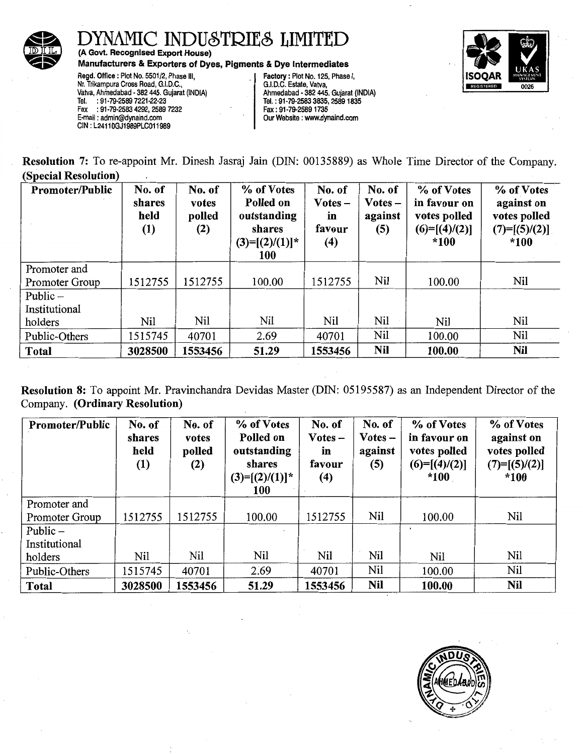

# DYNAMIC INDUSTRIES LIMITED<br>
(A Govt. Recognised Export House)<br>
Manufacturers & Exporters of Dyes, Pigments & Dye Intermediates<br>
Regd. Office : Plot No. 5501/2, Phase III,<br>
Nr. Trikampura Cross Road, G.I.D.C. (State, Vatva,

(A Govt. Recognised Export House)

**Regd. Office : Piot No. 5501/2, Phase III,**<br>
Nr. Trikampura Cross Road, G.I.D.C.,<br>
Vatva, Ahmedabad - 382 445. Gujarat (INDIA)<br>
Tel. : 91-79-2583 3835, 2589 1835<br>
Tel. : 91-79-2583 3835, 2589 1835 Fax : 91-79-2583 4292, 2589 7232 Fax: 91-79-25891735 E-mail : admin@dynaind.com Our Website : www.dynaind.com CIN: L24110GJ1989PLC011989

Tel. : 91-79-2583 3835, 2589 1835<br>Fax : 91-79-2589 1735



Resolution 7: To re-appoint Mr. Dinesh Jasraj Jain (DIN: 00135889) as Whole Time Director of the Company. (Special Resolution)

| Promoter/Public | No. of<br>shares<br>held<br>(1) | No. of<br>votes<br>polled<br>(2) | % of Votes<br>Polled on<br>outstanding<br>shares<br>$(3)=[(2)/(1)]^*$<br>100 | No. of<br>$Votes -$<br>in<br>favour<br>(4) | No. of<br>$\bf Votes$ –<br>against<br>(5) | % of Votes<br>in favour on<br>votes polled<br>$(6)=[(4)/(2)]$<br>$*100$ | % of Votes<br>against on<br>votes polled<br>$(7)=[(5)/(2)]$<br>$*100$ |
|-----------------|---------------------------------|----------------------------------|------------------------------------------------------------------------------|--------------------------------------------|-------------------------------------------|-------------------------------------------------------------------------|-----------------------------------------------------------------------|
| Promoter and    |                                 |                                  |                                                                              |                                            |                                           |                                                                         |                                                                       |
| Promoter Group  | 1512755                         | 1512755                          | 100.00                                                                       | 1512755                                    | Nil                                       | 100.00                                                                  | Nil                                                                   |
| Public $-$      |                                 |                                  |                                                                              |                                            |                                           |                                                                         |                                                                       |
| Institutional   |                                 |                                  |                                                                              |                                            |                                           |                                                                         |                                                                       |
| holders         | Nil                             | Nil                              | Nil                                                                          | Nil                                        | Nil                                       | Nil                                                                     | Nil                                                                   |
| Public-Others   | 1515745                         | 40701                            | 2.69                                                                         | 40701                                      | Nil                                       | 100.00                                                                  | Nil                                                                   |
| Total           | 3028500                         | 1553456                          | 51.29                                                                        | 1553456                                    | Nil                                       | 100.00                                                                  | <b>Nil</b>                                                            |

Resolution 8: To appoint Mr. Pravinchandra Devidas Master (DIN: 05195587) as an Independent Director of the Company. (Ordinary Resolution)

| <b>Promoter/Public</b> | No. of<br>shares<br>held<br>(1) | No. of<br>votes<br>polled<br>(2) | % of Votes<br>Polled on<br>outstanding<br>shares<br>$(3)=[(2)/(1)]^*$<br>100 | No. of<br>$\bf Votes -$<br>in<br>favour<br>(4) | No. of<br>$Votes -$<br>against<br>(5) | % of Votes<br>in favour on<br>votes polled<br>$(6)=[(4)/(2)]$<br>$*100$ | % of Votes<br>against on<br>votes polled<br>$(7)=[(5)/(2)]$<br>$*100$ |
|------------------------|---------------------------------|----------------------------------|------------------------------------------------------------------------------|------------------------------------------------|---------------------------------------|-------------------------------------------------------------------------|-----------------------------------------------------------------------|
| Promoter and           |                                 |                                  |                                                                              |                                                |                                       |                                                                         |                                                                       |
| Promoter Group         | 1512755                         | 1512755                          | 100.00                                                                       | 1512755                                        | Nil                                   | 100.00                                                                  | Nil                                                                   |
| Public $-$             |                                 |                                  |                                                                              |                                                |                                       |                                                                         |                                                                       |
| Institutional          |                                 |                                  |                                                                              |                                                |                                       |                                                                         |                                                                       |
| holders                | Nil                             | Nil                              | Nil                                                                          | Nil                                            | Nil                                   | Nil                                                                     | Nil                                                                   |
| Public-Others          | 1515745                         | 40701                            | 2.69                                                                         | 40701                                          | Nil                                   | 100.00                                                                  | Nil                                                                   |
| <b>Total</b>           | 3028500                         | 1553456                          | 51.29                                                                        | 1553456                                        | <b>Nil</b>                            | 100.00                                                                  | <b>Nil</b>                                                            |

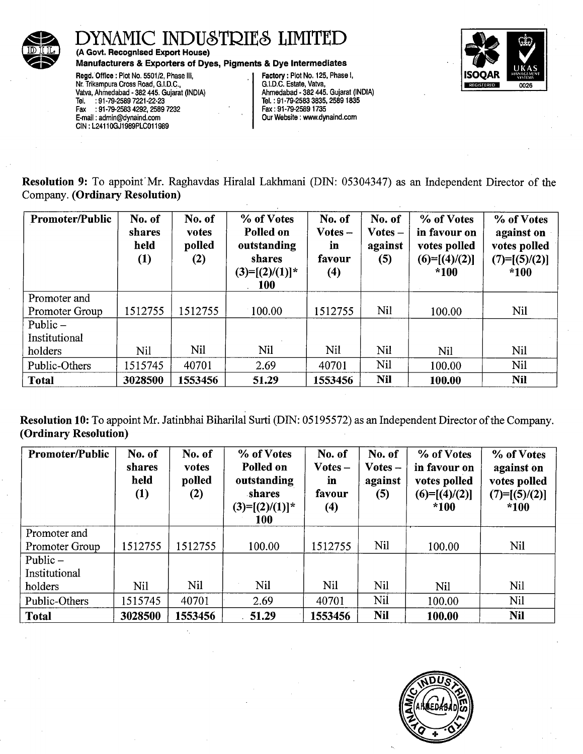

(A Govt. Recognised Export House)

Manufacturers & Exporters of Dyes, Pigments & Dye Intermediates

Regd. Office: Plot No. 5501/2, Phase Ill, Nr. Trikampura Cross Road, G.I.D.C., Vatva, Ahmedabad - 382 445. Gujarat (INDIA)<br>Tel. : 91-79-2589 7221-22-23 Tel. : 91-79-2589 7221-22·23 Fax :91-79-2583 4292,2589 7232 E-mail : admin@dynaind.com CIN: L24110GJ1989PLC011989

Factory: Plot No. 125, Phase I, G.I.D.C. Estate, Vatva,<br>Ahmedabad - 382 445. Gujarat (INDIA) Tel. : 91-79-2583 3835, 2589 1835 Fax: 91-79-25891735 Our Website : www.dynaind.com



Resolution 9: To appoint' Mr. Raghavdas Hiralal Lakhmani (DIN: 05304347) as an Independent Director of the Company. (Ordinary Resolution)

| <b>Promoter/Public</b> | No. of<br>shares<br>held<br>(1) | No. of<br>votes<br>polled<br>(2) | % of Votes<br>Polled on<br>outstanding<br>shares<br>$(3)=[(2)/(1)]^*$<br><b>100</b> | No. of<br>Votes -<br>in<br>favour<br>$\left(4\right)$ | No. of<br>$Votes -$<br>against<br>(5) | % of Votes<br>in favour on<br>votes polled<br>$(6)=[(4)/(2)]$<br>$*100$ | % of Votes<br>against on<br>votes polled<br>$(7)=[(5)/(2)]$<br>$*100$ |
|------------------------|---------------------------------|----------------------------------|-------------------------------------------------------------------------------------|-------------------------------------------------------|---------------------------------------|-------------------------------------------------------------------------|-----------------------------------------------------------------------|
| Promoter and           |                                 |                                  |                                                                                     |                                                       |                                       |                                                                         |                                                                       |
| Promoter Group         | 1512755                         | 1512755                          | 100.00                                                                              | 1512755                                               | Nil                                   | 100.00                                                                  | <b>Nil</b>                                                            |
| Public $-$             |                                 |                                  |                                                                                     |                                                       |                                       |                                                                         |                                                                       |
| Institutional          |                                 |                                  |                                                                                     |                                                       |                                       |                                                                         |                                                                       |
| holders                | Nil                             | <b>Nil</b>                       | <b>Nil</b>                                                                          | Nil                                                   | Nil                                   | Nil                                                                     | Nil                                                                   |
| Public-Others          | 1515745                         | 40701                            | 2.69                                                                                | 40701                                                 | Nil                                   | 100.00                                                                  | Nil                                                                   |
| <b>Total</b>           | 3028500                         | 1553456                          | 51.29                                                                               | 1553456                                               | <b>Nil</b>                            | 100.00                                                                  | <b>Nil</b>                                                            |

Resolution 10: To appoint Mr. Jatinbhai Biharilal Surti (DIN: 05195572) as an Independent Director of the Company. (Ordinary Resolution)

| <b>Promoter/Public</b> | No. of<br>shares<br>held<br>(1) | No. of<br>votes<br>polled<br>(2) | % of Votes<br>Polled on<br>outstanding<br>shares<br>$(3)=[(2)/(1)]^*$<br><b>100</b> | No. of<br>$\bf Votes$ –<br>in.<br>favour<br>(4) | No. of<br>Votes –<br>against<br>(5) | % of Votes<br>in favour on<br>votes polled<br>$(6)=[(4)/(2)]$<br>$*100$ | % of Votes<br>against on<br>votes polled<br>$(7)=[(5)/(2)]$<br>$*100$ |
|------------------------|---------------------------------|----------------------------------|-------------------------------------------------------------------------------------|-------------------------------------------------|-------------------------------------|-------------------------------------------------------------------------|-----------------------------------------------------------------------|
| Promoter and           |                                 |                                  |                                                                                     |                                                 |                                     |                                                                         |                                                                       |
| Promoter Group         | 1512755                         | 1512755                          | 100.00                                                                              | 1512755                                         | Nil                                 | 100.00                                                                  | <b>Nil</b>                                                            |
| Public $-$             |                                 |                                  |                                                                                     |                                                 |                                     |                                                                         |                                                                       |
| Institutional          |                                 |                                  |                                                                                     |                                                 |                                     |                                                                         |                                                                       |
| holders                | Nil                             | <b>Nil</b>                       | Nil                                                                                 | Nil                                             | Nil                                 | Nil                                                                     | Nil                                                                   |
| Public-Others          | 1515745                         | 40701                            | 2.69                                                                                | 40701                                           | Nil                                 | 100.00                                                                  | <b>Nil</b>                                                            |
| <b>Total</b>           | 3028500                         | 1553456                          | 51.29                                                                               | 1553456                                         | <b>Nil</b>                          | 100.00                                                                  | <b>Nil</b>                                                            |

÷.

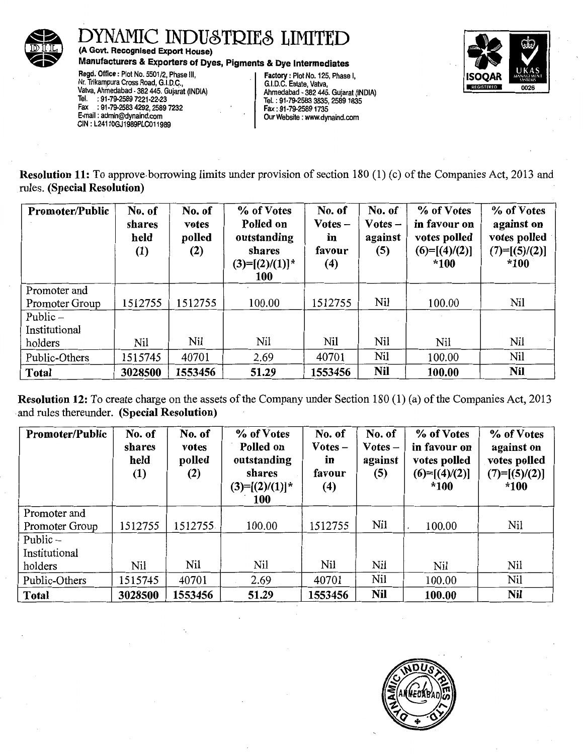

(A Govt. Recognised Export House)

Manufacturers & Exporters of Dyes, Pigments & Dye Intermediates<br>
Regd. Office : Plot No. 5501/2, Phase III,<br>
Nr. Trikampura Cross Road, G.I.D.C., (G.I.D.C. Estate, Vatva, Vatva, Ahmedabad - 382 445. Gujarat (INDIA)<br>
Tel. : Fax :91-79-2583 4292,2589 7232 Fax: 91-79-25891735 CIN: L24110GJ1989PLC011989

Our Website : www.dynaind.com



Resolution 11: To approve. borrowing limits under provision of section 180 ( 1) (c) of the Companies Act, 2013 and rules. (Special Resolution)

| <b>Promoter/Public</b> | No. of<br>shares<br>held<br>(1) | No. of<br>votes<br>polled<br>(2) | % of Votes<br>Polled on<br>outstanding<br>shares<br>$(3)=[(2)/(1)]^*$<br>100 | No. of<br>$Votes -$<br>in<br>favour<br>(4) | No. of<br>$Votes -$<br>against<br>(5) | % of Votes<br>in favour on<br>votes polled<br>$(6)=[(4)/(2)]$<br>$*100$ | % of Votes<br>against on<br>votes polled<br>$(7)=[(5)/(2)]$<br>*100 |
|------------------------|---------------------------------|----------------------------------|------------------------------------------------------------------------------|--------------------------------------------|---------------------------------------|-------------------------------------------------------------------------|---------------------------------------------------------------------|
| Promoter and           |                                 |                                  |                                                                              |                                            |                                       |                                                                         |                                                                     |
| Promoter Group         | 1512755                         | 1512755                          | 100.00                                                                       | 1512755                                    | Nil                                   | 100.00                                                                  | Nil                                                                 |
| Public $-$             |                                 |                                  |                                                                              |                                            |                                       |                                                                         |                                                                     |
| Institutional          |                                 |                                  |                                                                              |                                            |                                       |                                                                         |                                                                     |
| holders                | Nil                             | Nil                              | Nil                                                                          | Nil                                        | Nil                                   | Nil                                                                     | Nil                                                                 |
| Public-Others          | 1515745                         | 40701                            | 2.69                                                                         | 40701                                      | Nil                                   | 100.00                                                                  | Nil                                                                 |
| Total                  | 3028500                         | 1553456                          | 51.29                                                                        | 1553456                                    | Nil                                   | 100.00                                                                  | <b>Nil</b>                                                          |

Resolution 12: To create charge on the assets of the Company under Section 180 (1) (a) of the Companies Act, 2013 and rules thereunder. (Special Resolution)

| Promoter/Public | No. of<br>shares<br>held<br>$\left(1\right)$ | No. of<br>votes<br>polled<br>(2) | % of Votes<br>Polled on<br>outstanding<br>shares<br>$(3)=[(2)/(1)]^*$<br><b>100</b> | No. of<br>$\bf Votes$ –<br>in<br>favour<br>(4) | No. of<br>$Votes -$<br>against<br>(5) | % of Votes<br>in favour on<br>votes polled<br>$(6)=[(4)/(2)]$<br>$*100$ | % of Votes<br>against on<br>votes polled<br>$(7)=[(5)/(2)]$<br>$*100$ |
|-----------------|----------------------------------------------|----------------------------------|-------------------------------------------------------------------------------------|------------------------------------------------|---------------------------------------|-------------------------------------------------------------------------|-----------------------------------------------------------------------|
| Promoter and    |                                              |                                  |                                                                                     |                                                |                                       |                                                                         |                                                                       |
| Promoter Group  | 1512755                                      | 1512755                          | 100.00                                                                              | 1512755                                        | Nil                                   | 100.00                                                                  | Nil                                                                   |
| Public $-$      |                                              |                                  |                                                                                     |                                                |                                       |                                                                         |                                                                       |
| Institutional   |                                              |                                  |                                                                                     |                                                |                                       |                                                                         |                                                                       |
| holders         | Nil                                          | Nil                              | Nil                                                                                 | Nil                                            | Nil                                   | Nil                                                                     | Nil                                                                   |
| Public-Others   | 1515745                                      | 40701                            | 2.69                                                                                | 40701                                          | Nil                                   | 100.00                                                                  | Nil                                                                   |
| <b>Total</b>    | 3028500                                      | 1553456                          | 51.29                                                                               | 1553456                                        | Nil                                   | 100.00                                                                  | Nil                                                                   |

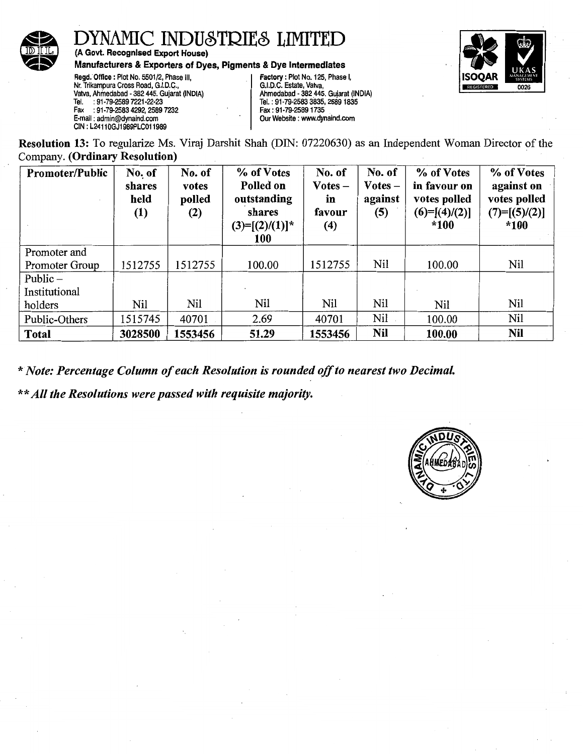

(A Govt. Recognised Export House)

Manufacturers & Exporters of Dyes, Pigments & Dye Intermediates



Regd. Office: Plot No. 5501/2, Phase Ill, Nr. Trikampura Cross Road, G.I.D.C., Valva, Ahmedabad - 382 445. Gujarat (INDIA) : 91-79-2589 7221-22-23 Fax : 91-79-2583 4292, 2589 7232 E-mail : admin@dynaind.com CIN: L24110GJ1989PLC011989

Factory : Plot No. 125, Phase I, G.I.D.C. Estate, Valva, Ahmedabad - 382 445. Gujarat (INDIA) Tel.: 91-79-2583 3835, 2589 1835 Fax: 91-79-25891735 Our Website : www.dynaind.com

Resolution 13: To regularize Ms. Viraj Darshit Shah (DIN: 07220630) as an Independent Woman Director of the Company. (Ordinary Resolution)

| Promoter/Public | No. of<br>shares<br>held<br>(1) | No. of<br>votes<br>polled<br>(2) | % of Votes<br>Polled on<br>outstanding<br>shares<br>$(3)=[(2)/(1)]^*$<br>100 | No. of<br>$Votes -$<br>in<br>favour<br>(4) | No. of<br>$Votes -$<br>against<br>(5) | % of Votes<br>in favour on<br>votes polled<br>$(6)=[(4)/(2)]$<br>$*100$ | % of Votes<br>against on<br>votes polled<br>$(7)=[(5)/(2)]$<br>$*100$ |
|-----------------|---------------------------------|----------------------------------|------------------------------------------------------------------------------|--------------------------------------------|---------------------------------------|-------------------------------------------------------------------------|-----------------------------------------------------------------------|
| Promoter and    |                                 |                                  |                                                                              |                                            |                                       |                                                                         |                                                                       |
| Promoter Group  | 1512755                         | 1512755                          | 100.00                                                                       | 1512755                                    | Nil                                   | 100.00                                                                  | Nil                                                                   |
| Public $-$      |                                 |                                  |                                                                              |                                            |                                       |                                                                         |                                                                       |
| Institutional   |                                 |                                  |                                                                              |                                            |                                       |                                                                         |                                                                       |
| holders         | Nil                             | Nil                              | Nil                                                                          | Nil                                        | Nil                                   | Nil                                                                     | Nil                                                                   |
| Public-Others   | 1515745                         | 40701                            | 2.69                                                                         | 40701                                      | Nil                                   | 100.00                                                                  | Nil                                                                   |
| Total           | 3028500                         | 1553456                          | 51.29                                                                        | 1553456                                    | Nil                                   | 100.00                                                                  | <b>Nil</b>                                                            |

*\*Note: Percentage Column of each Resolution is rounded off to nearest two Decimal.* 

*\*\*All the Resolutions were passed with requisite majority.* 

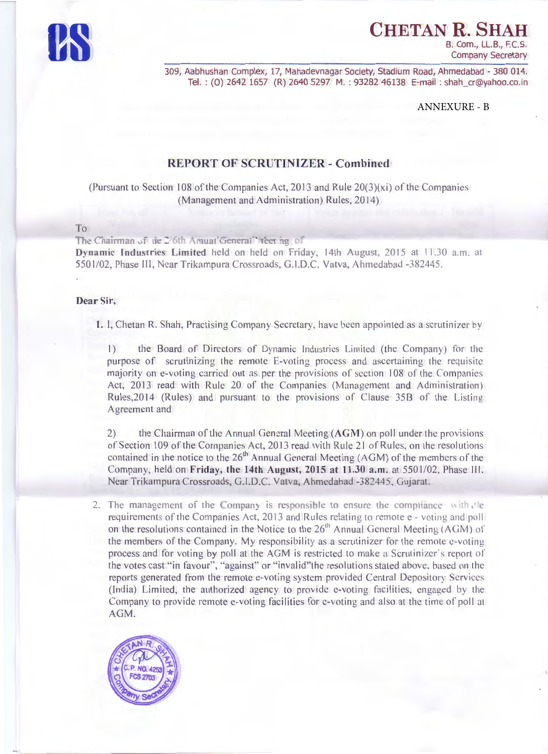

CHETAN R. SH

B. Com., LL.B., F.C.S. **Company Secretary** 

309, Aabhushan Complex, 17, Mahadevnagar Society, Stadium Road, Ahmedabad - 380 014. Tel.: (0) 2642 1657 (R) 2640 5297 M.: 93282 46138 E-mail: shah cr@yahoo.co.in

**ANNEXURE - B** 

#### **REPORT OF SCRUTINIZER - Combined**

(Pursuant to Section 108 of the Companies Act, 2013 and Rule  $20(3)(xi)$  of the Companies (Management and Administration) Rules, 2014)

#### To

The Chairman of the 2/6th Amual General Teeting of Dynamic Industries Limited held on held on Friday, 14th August, 2015 at 11130 a.m. at 5501/02. Phase III. Near Trikampura Crossroads, G.I.D.C. Vatva, Ahmedabad -382445.

#### Dear Sir.

1. I. Chetan R. Shah, Practising Company Secretary, have been appointed as a scrutinizer by

 $| \rangle$ the Board of Directors of Dynamic Industries Limited (the Company) for the purpose of scrutinizing the remote E-voting process and ascertaining the requisite majority on e-voting carried out as per the provisions of section 108 of the Companies Act, 2013 read with Rule 20 of the Companies (Management and Administration) Rules, 2014 (Rules) and pursuant to the provisions of Clause 35B of the Listing Agreement and

 $(2)$ the Chairman of the Annual General Meeting (AGM) on poll under the provisions of Section 109 of the Companies Act, 2013 read with Rule 21 of Rules, on the resolutions contained in the notice to the 26<sup>th</sup> Annual General Meeting (AGM) of the members of the Company, held on Friday, the 14th August, 2015 at 11.30 a.m. at 5501/02, Phase III. Near Trikampura Crossroads, G.I.D.C. Vatva, Ahmedabad -382445, Gujarat.

2. The management of the Company is responsible to ensure the compliance with the requirements of the Companies Act, 2013 and Rules relating to remote e - voting and poll on the resolutions contained in the Notice to the 26<sup>th</sup> Annual General Meeting (AGM) of the members of the Company. My responsibility as a scrutinizer for the remote e-voting process and for voting by poll at the AGM is restricted to make a Scrutinizer's report of the votes cast "in favour", "against" or "invalid" the resolutions stated above, based on the reports generated from the remote e-voting system provided Central Depository Services (India) Limited, the authorized agency to provide e-voting facilities, engaged by the Company to provide remote e-voting facilities for e-voting and also at the time of poll at AGM.

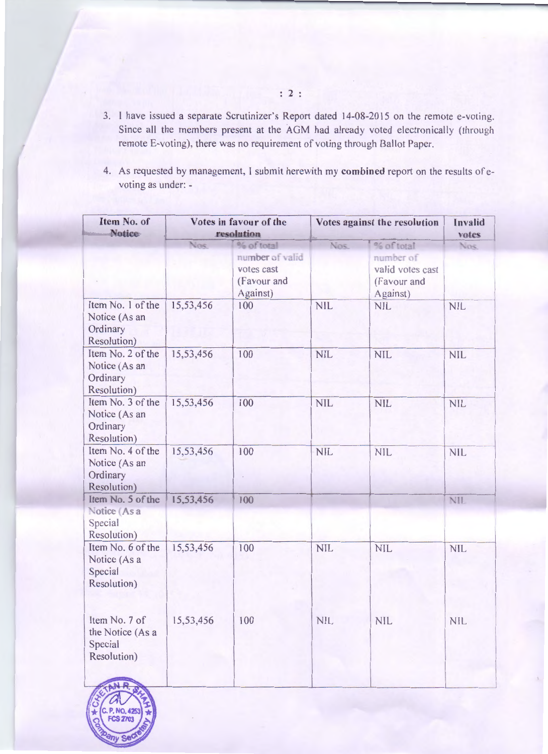- 3. I have issued a separate Scrutinizer's Report dated 14-08-2015 on the remote e-voting. Since all the members present at the AGM had already voted electronically (through remote E-voting), there was no requirement of voting through Ballot Paper.
- 4. As requested by management, I submit herewith my combined report on the results of evoting as under: -

| Item No. of<br><b>Notice</b>                                  |           | Votes in favour of the<br>resolution                     | Votes against the resolution | Invalid<br>votes                                         |            |
|---------------------------------------------------------------|-----------|----------------------------------------------------------|------------------------------|----------------------------------------------------------|------------|
|                                                               | Nos       | % of total                                               | <b>Nos</b>                   | % of total                                               | Nos.       |
|                                                               |           | number of valid<br>votes cast<br>(Favour and<br>Against) |                              | number of<br>valid votes cast<br>(Favour and<br>Against) |            |
| Item No. 1 of the<br>Notice (As an<br>Ordinary<br>Resolution) | 15,53,456 | 100                                                      | <b>NIL</b>                   | <b>NIL</b>                                               | <b>NIL</b> |
| Item No. 2 of the<br>Notice (As an<br>Ordinary<br>Resolution) | 15,53,456 | 100                                                      | <b>NIL</b>                   | <b>NIL</b>                                               | <b>NIL</b> |
| Item No. 3 of the<br>Notice (As an<br>Ordinary<br>Resolution) | 15,53,456 | 100                                                      | <b>NIL</b>                   | <b>NIL</b>                                               | <b>NIL</b> |
| Item No. 4 of the<br>Notice (As an<br>Ordinary<br>Resolution) | 15,53,456 | 100                                                      | <b>NIL</b>                   | <b>NIL</b>                                               | <b>NIL</b> |
| Item No. 5 of the<br>Notice (As a<br>Special<br>Resolution)   | 15,53,456 | 100                                                      |                              |                                                          | <b>NIL</b> |
| Item No. 6 of the<br>Notice (As a<br>Special<br>Resolution)   | 15,53,456 | 100                                                      | <b>NIL</b>                   | <b>NIL</b>                                               | <b>NIL</b> |
| Item No. 7 of<br>the Notice (As a<br>Special<br>Resolution)   | 15,53,456 | 100                                                      | <b>NIL</b>                   | <b>NIL</b>                                               | <b>NIL</b> |